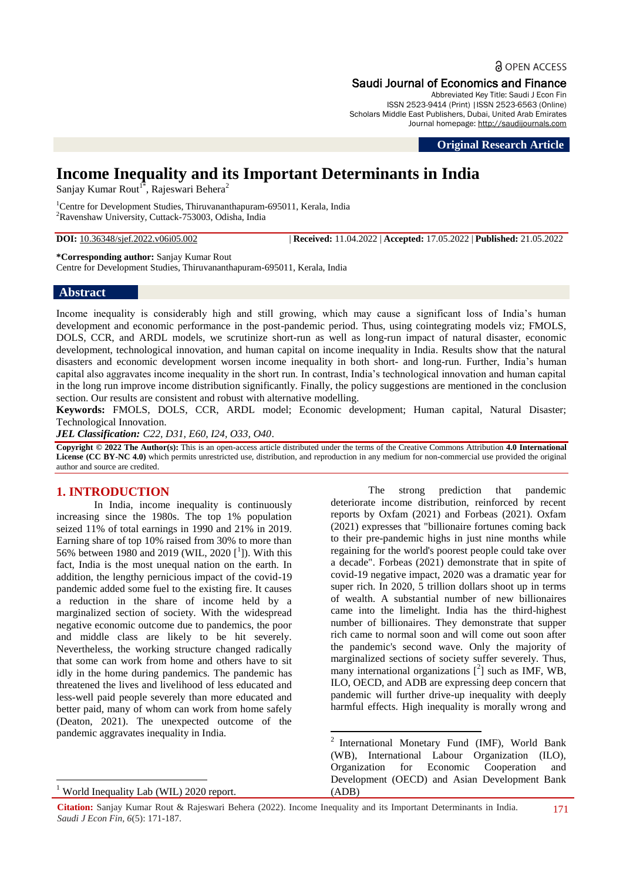**a** OPEN ACCESS

## Saudi Journal of Economics and Finance

Abbreviated Key Title: Saudi J Econ Fin ISSN 2523-9414 (Print) |ISSN 2523-6563 (Online) Scholars Middle East Publishers, Dubai, United Arab Emirates Journal homepage: [http://saudijournals.com](http://saudijournals.com/sjef/)

**Original Research Article**

# **Income Inequality and its Important Determinants in India**

Sanjay Kumar Rout<sup>1\*</sup>, Rajeswari Behera<sup>2</sup>

<sup>1</sup>Centre for Development Studies, Thiruvananthapuram-695011, Kerala, India <sup>2</sup>Ravenshaw University, Cuttack-753003, Odisha, India

**DOI:** 10.36348/sjef.2022.v06i05.002 | **Received:** 11.04.2022 | **Accepted:** 17.05.2022 | **Published:** 21.05.2022

**\*Corresponding author:** Sanjay Kumar Rout

Centre for Development Studies, Thiruvananthapuram-695011, Kerala, India

#### **Abstract**

Income inequality is considerably high and still growing, which may cause a significant loss of India's human development and economic performance in the post-pandemic period. Thus, using cointegrating models viz; FMOLS, DOLS, CCR, and ARDL models, we scrutinize short-run as well as long-run impact of natural disaster, economic development, technological innovation, and human capital on income inequality in India. Results show that the natural disasters and economic development worsen income inequality in both short- and long-run. Further, India's human capital also aggravates income inequality in the short run. In contrast, India's technological innovation and human capital in the long run improve income distribution significantly. Finally, the policy suggestions are mentioned in the conclusion section. Our results are consistent and robust with alternative modelling.

**Keywords:** FMOLS, DOLS, CCR, ARDL model; Economic development; Human capital, Natural Disaster; Technological Innovation.

*JEL Classification: C22, D31, E60, I24, O33, O40*.

**Copyright © 2022 The Author(s):** This is an open-access article distributed under the terms of the Creative Commons Attribution **4.0 International License (CC BY-NC 4.0)** which permits unrestricted use, distribution, and reproduction in any medium for non-commercial use provided the original author and source are credited.

## **1. INTRODUCTION**

In India, income inequality is continuously increasing since the 1980s. The top 1% population seized 11% of total earnings in 1990 and 21% in 2019. Earning share of top 10% raised from 30% to more than 56% between 1980 and 2019 (WIL, 2020 [<sup>1</sup>]). With this fact, India is the most unequal nation on the earth. In addition, the lengthy pernicious impact of the covid-19 pandemic added some fuel to the existing fire. It causes a reduction in the share of income held by a marginalized section of society. With the widespread negative economic outcome due to pandemics, the poor and middle class are likely to be hit severely. Nevertheless, the working structure changed radically that some can work from home and others have to sit idly in the home during pandemics. The pandemic has threatened the lives and livelihood of less educated and less-well paid people severely than more educated and better paid, many of whom can work from home safely (Deaton, 2021). The unexpected outcome of the pandemic aggravates inequality in India.

The strong prediction that pandemic deteriorate income distribution, reinforced by recent reports by Oxfam (2021) and Forbeas (2021). Oxfam (2021) expresses that "billionaire fortunes coming back to their pre-pandemic highs in just nine months while regaining for the world's poorest people could take over a decade". Forbeas (2021) demonstrate that in spite of covid-19 negative impact, 2020 was a dramatic year for super rich. In 2020, 5 trillion dollars shoot up in terms of wealth. A substantial number of new billionaires came into the limelight. India has the third-highest number of billionaires. They demonstrate that supper rich came to normal soon and will come out soon after the pandemic's second wave. Only the majority of marginalized sections of society suffer severely. Thus, many international organizations  $[^2]$  such as IMF, WB, ILO, OECD, and ADB are expressing deep concern that pandemic will further drive-up inequality with deeply harmful effects. High inequality is morally wrong and

 2 International Monetary Fund (IMF), World Bank (WB), International Labour Organization (ILO), Organization for Economic Cooperation and Development (OECD) and Asian Development Bank (ADB)

<sup>1</sup> <sup>1</sup> World Inequality Lab (WIL) 2020 report.

**Citation:** Sanjay Kumar Rout & Rajeswari Behera (2022). Income Inequality and its Important Determinants in India. *Saudi J Econ Fin, 6*(5): 171-187.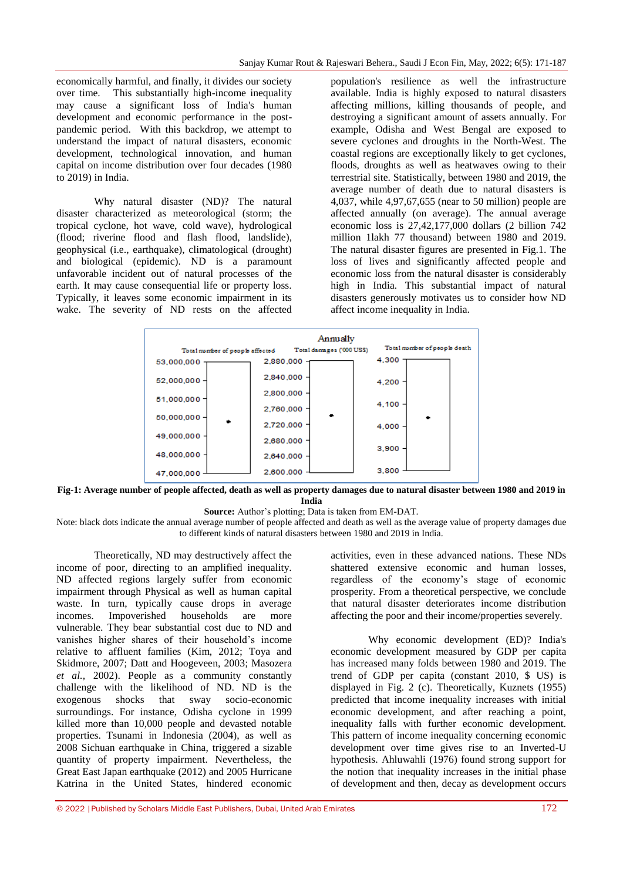economically harmful, and finally, it divides our society over time. This substantially high-income inequality may cause a significant loss of India's human development and economic performance in the postpandemic period. With this backdrop, we attempt to understand the impact of natural disasters, economic development, technological innovation, and human capital on income distribution over four decades (1980 to 2019) in India.

Why natural disaster (ND)? The natural disaster characterized as meteorological (storm; the tropical cyclone, hot wave, cold wave), hydrological (flood; riverine flood and flash flood, landslide), geophysical (i.e., earthquake), climatological (drought) and biological (epidemic). ND is a paramount unfavorable incident out of natural processes of the earth. It may cause consequential life or property loss. Typically, it leaves some economic impairment in its wake. The severity of ND rests on the affected population's resilience as well the infrastructure available. India is highly exposed to natural disasters affecting millions, killing thousands of people, and destroying a significant amount of assets annually. For example, Odisha and West Bengal are exposed to severe cyclones and droughts in the North-West. The coastal regions are exceptionally likely to get cyclones, floods, droughts as well as heatwaves owing to their terrestrial site. Statistically, between 1980 and 2019, the average number of death due to natural disasters is 4,037, while 4,97,67,655 (near to 50 million) people are affected annually (on average). The annual average economic loss is 27,42,177,000 dollars (2 billion 742 million 1lakh 77 thousand) between 1980 and 2019. The natural disaster figures are presented in Fig.1. The loss of lives and significantly affected people and economic loss from the natural disaster is considerably high in India. This substantial impact of natural disasters generously motivates us to consider how ND affect income inequality in India.

| Total number of people affected | Annually<br>Total damages ('000 US\$) | Total number of people death |
|---------------------------------|---------------------------------------|------------------------------|
| 53,000,000                      | 2,880,000                             | 4.300                        |
| 52.000.000                      | 2,840,000 -                           | 4,200                        |
| 51,000,000                      | 2,800,000                             | 4,100                        |
| $50,000,000 -$                  | 2,760,000 -                           |                              |
|                                 | 2,720,000 -                           | 4.000                        |
| 49,000,000                      | 2,680,000 -                           |                              |
| 48,000,000                      | 2,640,000 -                           | 3,900                        |
| 47,000,000                      | 2,600,000                             | 3,800                        |

**Fig-1: Average number of people affected, death as well as property damages due to natural disaster between 1980 and 2019 in India**

## **Source:** Author's plotting; Data is taken from EM-DAT.

Note: black dots indicate the annual average number of people affected and death as well as the average value of property damages due to different kinds of natural disasters between 1980 and 2019 in India.

Theoretically, ND may destructively affect the income of poor, directing to an amplified inequality. ND affected regions largely suffer from economic impairment through Physical as well as human capital waste. In turn, typically cause drops in average incomes. Impoverished households are more vulnerable. They bear substantial cost due to ND and vanishes higher shares of their household's income relative to affluent families (Kim, 2012; Toya and Skidmore, 2007; Datt and Hoogeveen, 2003; Masozera *et al.,* 2002). People as a community constantly challenge with the likelihood of ND. ND is the exogenous shocks that sway socio-economic surroundings. For instance, Odisha cyclone in 1999 killed more than 10,000 people and devasted notable properties. Tsunami in Indonesia (2004), as well as 2008 Sichuan earthquake in China, triggered a sizable quantity of property impairment. Nevertheless, the Great East Japan earthquake (2012) and 2005 Hurricane Katrina in the United States, hindered economic

activities, even in these advanced nations. These NDs shattered extensive economic and human losses, regardless of the economy's stage of economic prosperity. From a theoretical perspective, we conclude that natural disaster deteriorates income distribution affecting the poor and their income/properties severely.

Why economic development (ED)? India's economic development measured by GDP per capita has increased many folds between 1980 and 2019. The trend of GDP per capita (constant 2010, \$ US) is displayed in Fig. 2 (c). Theoretically, Kuznets (1955) predicted that income inequality increases with initial economic development, and after reaching a point, inequality falls with further economic development. This pattern of income inequality concerning economic development over time gives rise to an Inverted-U hypothesis. Ahluwahli (1976) found strong support for the notion that inequality increases in the initial phase of development and then, decay as development occurs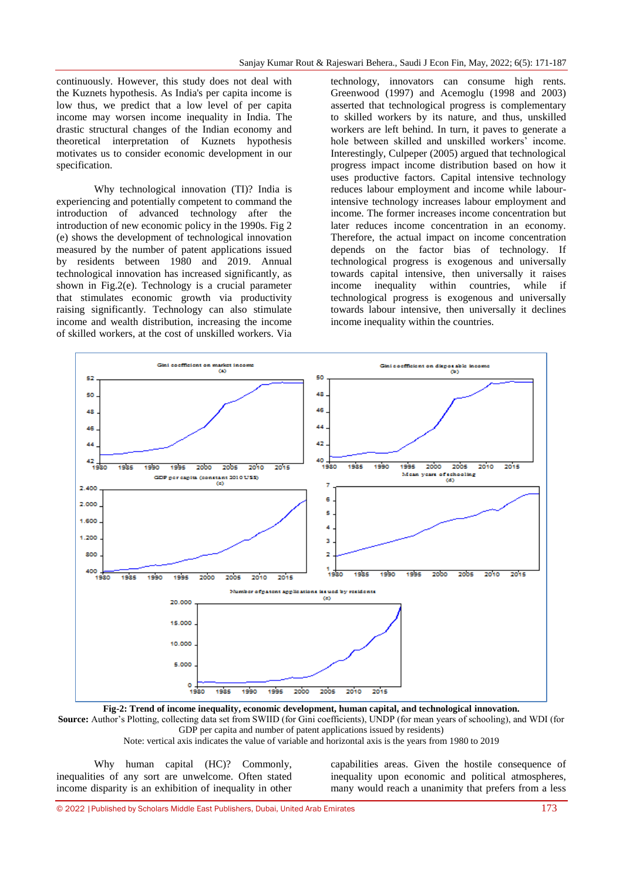continuously. However, this study does not deal with the Kuznets hypothesis. As India's per capita income is low thus, we predict that a low level of per capita income may worsen income inequality in India. The drastic structural changes of the Indian economy and theoretical interpretation of Kuznets hypothesis motivates us to consider economic development in our specification.

Why technological innovation (TI)? India is experiencing and potentially competent to command the introduction of advanced technology after the introduction of new economic policy in the 1990s. Fig 2 (e) shows the development of technological innovation measured by the number of patent applications issued by residents between 1980 and 2019. Annual technological innovation has increased significantly, as shown in Fig.2(e). Technology is a crucial parameter that stimulates economic growth via productivity raising significantly. Technology can also stimulate income and wealth distribution, increasing the income of skilled workers, at the cost of unskilled workers. Via technology, innovators can consume high rents. Greenwood (1997) and Acemoglu (1998 and 2003) asserted that technological progress is complementary to skilled workers by its nature, and thus, unskilled workers are left behind. In turn, it paves to generate a hole between skilled and unskilled workers' income. Interestingly, Culpeper (2005) argued that technological progress impact income distribution based on how it uses productive factors. Capital intensive technology reduces labour employment and income while labourintensive technology increases labour employment and income. The former increases income concentration but later reduces income concentration in an economy. Therefore, the actual impact on income concentration depends on the factor bias of technology. If technological progress is exogenous and universally towards capital intensive, then universally it raises income inequality within countries, while if technological progress is exogenous and universally towards labour intensive, then universally it declines income inequality within the countries.



**Fig-2: Trend of income inequality, economic development, human capital, and technological innovation. Source:** Author's Plotting, collecting data set from SWIID (for Gini coefficients), UNDP (for mean years of schooling), and WDI (for

GDP per capita and number of patent applications issued by residents)

Note: vertical axis indicates the value of variable and horizontal axis is the years from 1980 to 2019

Why human capital (HC)? Commonly, inequalities of any sort are unwelcome. Often stated income disparity is an exhibition of inequality in other

capabilities areas. Given the hostile consequence of inequality upon economic and political atmospheres, many would reach a unanimity that prefers from a less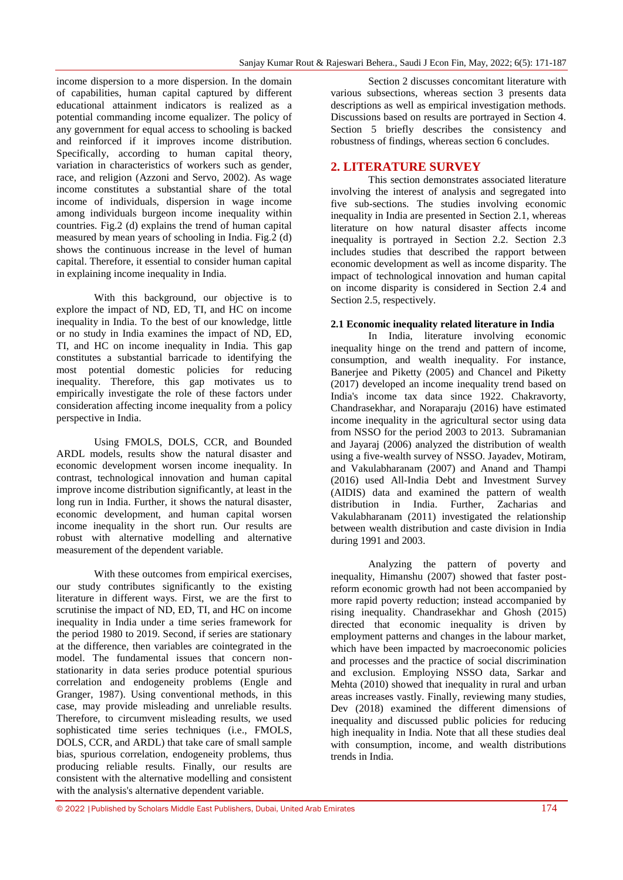income dispersion to a more dispersion. In the domain of capabilities, human capital captured by different educational attainment indicators is realized as a potential commanding income equalizer. The policy of any government for equal access to schooling is backed and reinforced if it improves income distribution. Specifically, according to human capital theory, variation in characteristics of workers such as gender, race, and religion (Azzoni and Servo, 2002). As wage income constitutes a substantial share of the total income of individuals, dispersion in wage income among individuals burgeon income inequality within countries. Fig.2 (d) explains the trend of human capital measured by mean years of schooling in India. Fig.2 (d) shows the continuous increase in the level of human capital. Therefore, it essential to consider human capital in explaining income inequality in India.

With this background, our objective is to explore the impact of ND, ED, TI, and HC on income inequality in India. To the best of our knowledge, little or no study in India examines the impact of ND, ED, TI, and HC on income inequality in India. This gap constitutes a substantial barricade to identifying the most potential domestic policies for reducing inequality. Therefore, this gap motivates us to empirically investigate the role of these factors under consideration affecting income inequality from a policy perspective in India.

Using FMOLS, DOLS, CCR, and Bounded ARDL models, results show the natural disaster and economic development worsen income inequality. In contrast, technological innovation and human capital improve income distribution significantly, at least in the long run in India. Further, it shows the natural disaster, economic development, and human capital worsen income inequality in the short run. Our results are robust with alternative modelling and alternative measurement of the dependent variable.

With these outcomes from empirical exercises, our study contributes significantly to the existing literature in different ways. First, we are the first to scrutinise the impact of ND, ED, TI, and HC on income inequality in India under a time series framework for the period 1980 to 2019. Second, if series are stationary at the difference, then variables are cointegrated in the model. The fundamental issues that concern nonstationarity in data series produce potential spurious correlation and endogeneity problems (Engle and Granger, 1987). Using conventional methods, in this case, may provide misleading and unreliable results. Therefore, to circumvent misleading results, we used sophisticated time series techniques (i.e., FMOLS, DOLS, CCR, and ARDL) that take care of small sample bias, spurious correlation, endogeneity problems, thus producing reliable results. Finally, our results are consistent with the alternative modelling and consistent with the analysis's alternative dependent variable.

Section 2 discusses concomitant literature with various subsections, whereas section 3 presents data descriptions as well as empirical investigation methods. Discussions based on results are portrayed in Section 4. Section 5 briefly describes the consistency and robustness of findings, whereas section 6 concludes.

## **2. LITERATURE SURVEY**

This section demonstrates associated literature involving the interest of analysis and segregated into five sub-sections. The studies involving economic inequality in India are presented in Section 2.1, whereas literature on how natural disaster affects income inequality is portrayed in Section 2.2. Section 2.3 includes studies that described the rapport between economic development as well as income disparity. The impact of technological innovation and human capital on income disparity is considered in Section 2.4 and Section 2.5, respectively.

## **2.1 Economic inequality related literature in India**

In India, literature involving economic inequality hinge on the trend and pattern of income, consumption, and wealth inequality. For instance, Banerjee and Piketty (2005) and Chancel and Piketty (2017) developed an income inequality trend based on India's income tax data since 1922. Chakravorty, Chandrasekhar, and Noraparaju (2016) have estimated income inequality in the agricultural sector using data from NSSO for the period 2003 to 2013. Subramanian and Jayaraj (2006) analyzed the distribution of wealth using a five-wealth survey of NSSO. Jayadev, Motiram, and Vakulabharanam (2007) and Anand and Thampi (2016) used All-India Debt and Investment Survey (AIDIS) data and examined the pattern of wealth distribution in India. Further, Zacharias and Vakulabharanam (2011) investigated the relationship between wealth distribution and caste division in India during 1991 and 2003.

Analyzing the pattern of poverty and inequality, Himanshu (2007) showed that faster postreform economic growth had not been accompanied by more rapid poverty reduction; instead accompanied by rising inequality. Chandrasekhar and Ghosh (2015) directed that economic inequality is driven by employment patterns and changes in the labour market, which have been impacted by macroeconomic policies and processes and the practice of social discrimination and exclusion. Employing NSSO data, Sarkar and Mehta (2010) showed that inequality in rural and urban areas increases vastly. Finally, reviewing many studies, Dev (2018) examined the different dimensions of inequality and discussed public policies for reducing high inequality in India. Note that all these studies deal with consumption, income, and wealth distributions trends in India.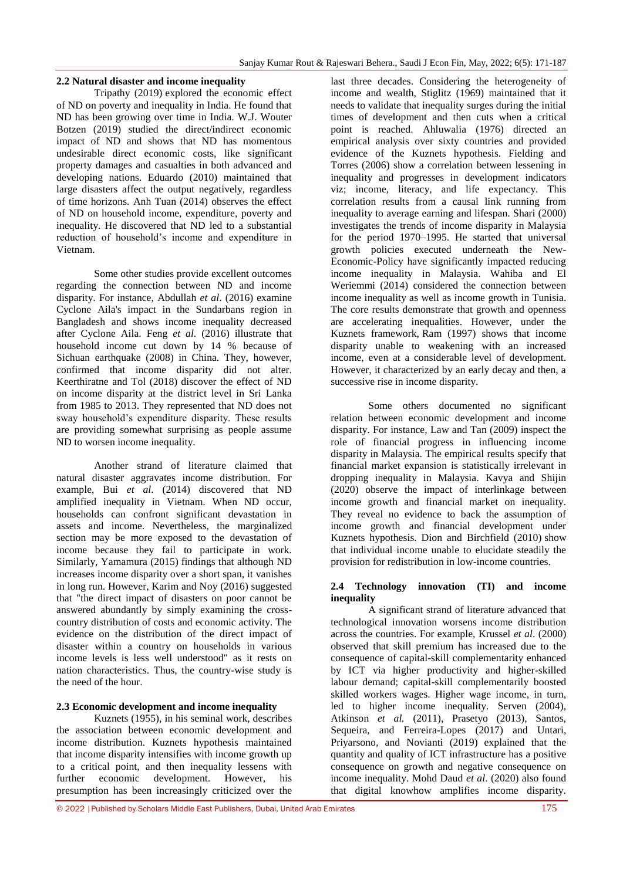### **2.2 Natural disaster and income inequality**

Tripathy (2019) explored the economic effect of ND on poverty and inequality in India. He found that ND has been growing over time in India. W.J. Wouter Botzen (2019) studied the direct/indirect economic impact of ND and shows that ND has momentous undesirable direct economic costs, like significant property damages and casualties in both advanced and developing nations. Eduardo (2010) maintained that large disasters affect the output negatively, regardless of time horizons. Anh Tuan (2014) observes the effect of ND on household income, expenditure, poverty and inequality. He discovered that ND led to a substantial reduction of household's income and expenditure in Vietnam.

Some other studies provide excellent outcomes regarding the connection between ND and income disparity. For instance, Abdullah *et al*. (2016) examine Cyclone Aila's impact in the Sundarbans region in Bangladesh and shows income inequality decreased after Cyclone Aila. Feng *et al.* (2016) illustrate that household income cut down by 14 % because of Sichuan earthquake (2008) in China. They, however, confirmed that income disparity did not alter. Keerthiratne and Tol (2018) discover the effect of ND on income disparity at the district level in Sri Lanka from 1985 to 2013. They represented that ND does not sway household's expenditure disparity. These results are providing somewhat surprising as people assume ND to worsen income inequality.

Another strand of literature claimed that natural disaster aggravates income distribution. For example, Bui *et al*. (2014) discovered that ND amplified inequality in Vietnam. When ND occur, households can confront significant devastation in assets and income. Nevertheless, the marginalized section may be more exposed to the devastation of income because they fail to participate in work. Similarly, Yamamura (2015) findings that although ND increases income disparity over a short span, it vanishes in long run. However, Karim and Noy (2016) suggested that "the direct impact of disasters on poor cannot be answered abundantly by simply examining the crosscountry distribution of costs and economic activity. The evidence on the distribution of the direct impact of disaster within a country on households in various income levels is less well understood" as it rests on nation characteristics. Thus, the country-wise study is the need of the hour.

## **2.3 Economic development and income inequality**

Kuznets (1955), in his seminal work, describes the association between economic development and income distribution. Kuznets hypothesis maintained that income disparity intensifies with income growth up to a critical point, and then inequality lessens with<br>further economic development. However, his further economic development. However, his presumption has been increasingly criticized over the

last three decades. Considering the heterogeneity of income and wealth, Stiglitz (1969) maintained that it needs to validate that inequality surges during the initial times of development and then cuts when a critical point is reached. Ahluwalia (1976) directed an empirical analysis over sixty countries and provided evidence of the Kuznets hypothesis. Fielding and Torres (2006) show a correlation between lessening in inequality and progresses in development indicators viz; income, literacy, and life expectancy. This correlation results from a causal link running from inequality to average earning and lifespan. Shari (2000) investigates the trends of income disparity in Malaysia for the period 1970–1995. He started that universal growth policies executed underneath the New-Economic-Policy have significantly impacted reducing income inequality in Malaysia. Wahiba and El Weriemmi (2014) considered the connection between income inequality as well as income growth in Tunisia. The core results demonstrate that growth and openness are accelerating inequalities. However, under the Kuznets framework, Ram (1997) shows that income disparity unable to weakening with an increased income, even at a considerable level of development. However, it characterized by an early decay and then, a successive rise in income disparity.

Some others documented no significant relation between economic development and income disparity. For instance, Law and Tan (2009) inspect the role of financial progress in influencing income disparity in Malaysia. The empirical results specify that financial market expansion is statistically irrelevant in dropping inequality in Malaysia. Kavya and Shijin (2020) observe the impact of interlinkage between income growth and financial market on inequality. They reveal no evidence to back the assumption of income growth and financial development under Kuznets hypothesis. Dion and Birchfield (2010) show that individual income unable to elucidate steadily the provision for redistribution in low-income countries.

#### **2.4 Technology innovation (TI) and income inequality**

A significant strand of literature advanced that technological innovation worsens income distribution across the countries. For example, Krussel *et al*. (2000) observed that skill premium has increased due to the consequence of capital-skill complementarity enhanced by ICT via higher productivity and higher-skilled labour demand; capital-skill complementarily boosted skilled workers wages. Higher wage income, in turn, led to higher income inequality. Serven (2004), Atkinson *et al.* (2011), Prasetyo (2013), Santos, Sequeira, and Ferreira-Lopes (2017) and Untari, Priyarsono, and Novianti (2019) explained that the quantity and quality of ICT infrastructure has a positive consequence on growth and negative consequence on income inequality. Mohd Daud *et al*. (2020) also found that digital knowhow amplifies income disparity.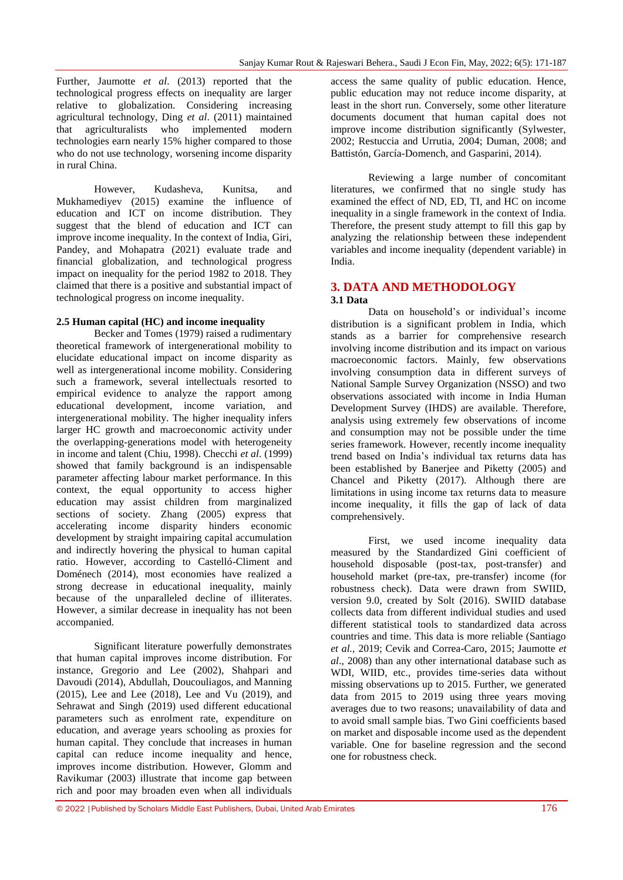Further, Jaumotte *et al*. (2013) reported that the technological progress effects on inequality are larger relative to globalization. Considering increasing agricultural technology, Ding *et al*. (2011) maintained that agriculturalists who implemented modern technologies earn nearly 15% higher compared to those who do not use technology, worsening income disparity in rural China.

However, Kudasheva, Kunitsa, and Mukhamediyev (2015) examine the influence of education and ICT on income distribution. They suggest that the blend of education and ICT can improve income inequality. In the context of India, Giri, Pandey, and Mohapatra (2021) evaluate trade and financial globalization, and technological progress impact on inequality for the period 1982 to 2018. They claimed that there is a positive and substantial impact of technological progress on income inequality.

### **2.5 Human capital (HC) and income inequality**

Becker and Tomes (1979) raised a rudimentary theoretical framework of intergenerational mobility to elucidate educational impact on income disparity as well as intergenerational income mobility. Considering such a framework, several intellectuals resorted to empirical evidence to analyze the rapport among educational development, income variation, and intergenerational mobility. The higher inequality infers larger HC growth and macroeconomic activity under the overlapping-generations model with heterogeneity in income and talent (Chiu, 1998). Checchi *et al*. (1999) showed that family background is an indispensable parameter affecting labour market performance. In this context, the equal opportunity to access higher education may assist children from marginalized sections of society. Zhang (2005) express that accelerating income disparity hinders economic development by straight impairing capital accumulation and indirectly hovering the physical to human capital ratio. However, according to Castelló-Climent and Doménech (2014), most economies have realized a strong decrease in educational inequality, mainly because of the unparalleled decline of illiterates. However, a similar decrease in inequality has not been accompanied.

Significant literature powerfully demonstrates that human capital improves income distribution. For instance, Gregorio and Lee (2002), Shahpari and Davoudi (2014), Abdullah, Doucouliagos, and Manning (2015), Lee and Lee (2018), Lee and Vu (2019), and Sehrawat and Singh (2019) used different educational parameters such as enrolment rate, expenditure on education, and average years schooling as proxies for human capital. They conclude that increases in human capital can reduce income inequality and hence, improves income distribution. However, Glomm and Ravikumar (2003) illustrate that income gap between rich and poor may broaden even when all individuals

access the same quality of public education. Hence, public education may not reduce income disparity, at least in the short run. Conversely, some other literature documents document that human capital does not improve income distribution significantly (Sylwester, 2002; Restuccia and Urrutia, 2004; Duman, 2008; and Battistón, García-Domench, and Gasparini, 2014).

Reviewing a large number of concomitant literatures, we confirmed that no single study has examined the effect of ND, ED, TI, and HC on income inequality in a single framework in the context of India. Therefore, the present study attempt to fill this gap by analyzing the relationship between these independent variables and income inequality (dependent variable) in India.

## **3. DATA AND METHODOLOGY 3.1 Data**

Data on household's or individual's income distribution is a significant problem in India, which stands as a barrier for comprehensive research involving income distribution and its impact on various macroeconomic factors. Mainly, few observations involving consumption data in different surveys of National Sample Survey Organization (NSSO) and two observations associated with income in India Human Development Survey (IHDS) are available. Therefore, analysis using extremely few observations of income and consumption may not be possible under the time series framework. However, recently income inequality trend based on India's individual tax returns data has been established by Banerjee and Piketty (2005) and Chancel and Piketty (2017). Although there are limitations in using income tax returns data to measure income inequality, it fills the gap of lack of data comprehensively.

First, we used income inequality data measured by the Standardized Gini coefficient of household disposable (post-tax, post-transfer) and household market (pre-tax, pre-transfer) income (for robustness check). Data were drawn from SWIID, version 9.0, created by Solt (2016). SWIID database collects data from different individual studies and used different statistical tools to standardized data across countries and time. This data is more reliable (Santiago *et al.,* 2019; Cevik and Correa-Caro, 2015; Jaumotte *et al*., 2008) than any other international database such as WDI, WIID, etc., provides time-series data without missing observations up to 2015. Further, we generated data from 2015 to 2019 using three years moving averages due to two reasons; unavailability of data and to avoid small sample bias. Two Gini coefficients based on market and disposable income used as the dependent variable. One for baseline regression and the second one for robustness check.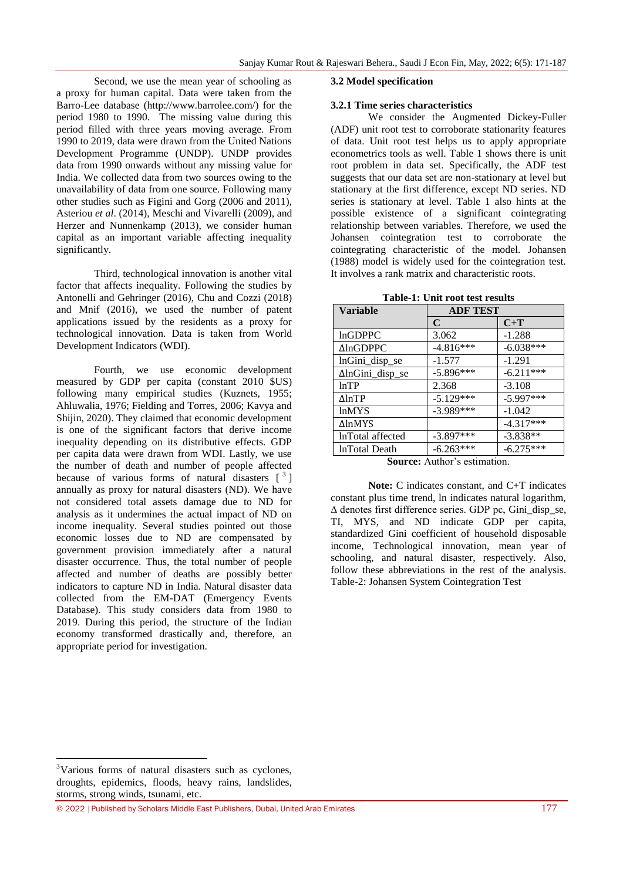Second, we use the mean year of schooling as a proxy for human capital. Data were taken from the Barro-Lee database (http://www.barrolee.com/) for the period 1980 to 1990. The missing value during this period filled with three years moving average. From 1990 to 2019, data were drawn from the United Nations Development Programme (UNDP). UNDP provides data from 1990 onwards without any missing value for India. We collected data from two sources owing to the unavailability of data from one source. Following many other studies such as Figini and Gorg (2006 and 2011), Asteriou *et al*. (2014), Meschi and Vivarelli (2009), and Herzer and Nunnenkamp (2013), we consider human capital as an important variable affecting inequality significantly.

Third, technological innovation is another vital factor that affects inequality. Following the studies by Antonelli and Gehringer (2016), Chu and Cozzi (2018) and Mnif (2016), we used the number of patent applications issued by the residents as a proxy for technological innovation. Data is taken from World Development Indicators (WDI).

Fourth, we use economic development measured by GDP per capita (constant 2010 \$US) following many empirical studies (Kuznets, 1955; Ahluwalia, 1976; Fielding and Torres, 2006; Kavya and Shijin, 2020). They claimed that economic development is one of the significant factors that derive income inequality depending on its distributive effects. GDP per capita data were drawn from WDI. Lastly, we use the number of death and number of people affected because of various forms of natural disasters  $\begin{bmatrix} 3 \end{bmatrix}$ annually as proxy for natural disasters (ND). We have not considered total assets damage due to ND for analysis as it undermines the actual impact of ND on income inequality. Several studies pointed out those economic losses due to ND are compensated by government provision immediately after a natural disaster occurrence. Thus, the total number of people affected and number of deaths are possibly better indicators to capture ND in India. Natural disaster data collected from the EM-DAT (Emergency Events Database). This study considers data from 1980 to 2019. During this period, the structure of the Indian economy transformed drastically and, therefore, an appropriate period for investigation.

#### **3.2 Model specification**

#### **3.2.1 Time series characteristics**

We consider the Augmented Dickey-Fuller (ADF) unit root test to corroborate stationarity features of data. Unit root test helps us to apply appropriate econometrics tools as well. Table 1 shows there is unit root problem in data set. Specifically, the ADF test suggests that our data set are non-stationary at level but stationary at the first difference, except ND series. ND series is stationary at level. Table 1 also hints at the possible existence of a significant cointegrating relationship between variables. Therefore, we used the Johansen cointegration test to corroborate the cointegrating characteristic of the model. Johansen (1988) model is widely used for the cointegration test. It involves a rank matrix and characteristic roots.

| <b>Variable</b>  | <b>ADF TEST</b> |             |  |
|------------------|-----------------|-------------|--|
|                  | $\mathbf C$     | $C+T$       |  |
| <b>lnGDPPC</b>   | 3.062           | $-1.288$    |  |
| $\Delta$ lnGDPPC | $-4.816***$     | $-6.038***$ |  |
| lnGini_disp_se   | $-1.577$        | $-1.291$    |  |
| ∆lnGini_disp_se  | $-5.896***$     | $-6.211***$ |  |
| lnTP             | 2.368           | $-3.108$    |  |
| $\Delta$ ln $TP$ | $-5.129***$     | $-5.997***$ |  |
| <b>lnMYS</b>     | $-3.989***$     | $-1.042$    |  |
| ΔlnMYS           |                 | $-4.317***$ |  |
| InTotal affected | $-3.897***$     | $-3.838**$  |  |
| lnTotal Death    | $-6.263***$     | $-6.275***$ |  |

**Table-1: Unit root test results**

**Note:** C indicates constant, and C+T indicates constant plus time trend, ln indicates natural logarithm, ∆ denotes first difference series. GDP pc, Gini\_disp\_se, TI, MYS, and ND indicate GDP per capita, standardized Gini coefficient of household disposable income, Technological innovation, mean year of schooling, and natural disaster, respectively. Also, follow these abbreviations in the rest of the analysis. Table-2: Johansen System Cointegration Test

**.** 

**Source:** Author's estimation.

<sup>&</sup>lt;sup>3</sup>Various forms of natural disasters such as cyclones, droughts, epidemics, floods, heavy rains, landslides, storms, strong winds, tsunami, etc.

<sup>© 2022</sup> |Published by Scholars Middle East Publishers, Dubai, United Arab Emirates 177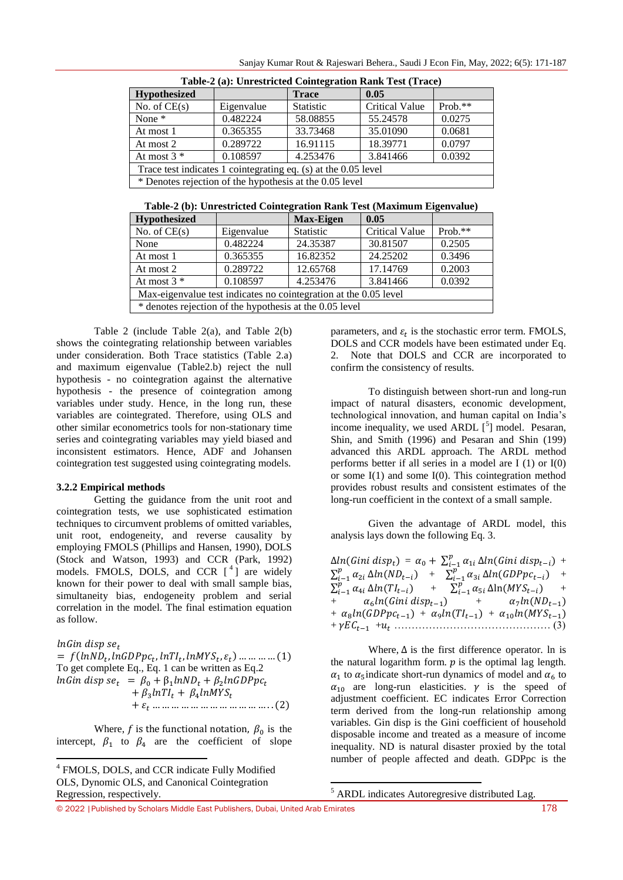| $\mathbf{1}_{\mathbf{1}_{\mathbf{1}_{\mathbf{1}}} \sim \mathbf{1}_{\mathbf{2}_{\mathbf{2}} \sim \mathbf{1}_{\mathbf{1}}} \sim \mathbf{1}_{\mathbf{1}_{\mathbf{1}}} \sim \mathbf{1}_{\mathbf{1}_{\mathbf{1}}} \sim \mathbf{1}_{\mathbf{1}_{\mathbf{1}}} \sim \mathbf{1}_{\mathbf{1}_{\mathbf{1}}} \sim \mathbf{1}_{\mathbf{1}_{\mathbf{1}}} \sim \mathbf{1}_{\mathbf{1}_{\mathbf{1}}} \sim \mathbf{1}_{\mathbf{1}_{\mathbf{1}}} \sim \mathbf{1}_{\mathbf{1}_{\mathbf{1}}} \sim$ |            |                  |                       |           |  |  |
|--------------------------------------------------------------------------------------------------------------------------------------------------------------------------------------------------------------------------------------------------------------------------------------------------------------------------------------------------------------------------------------------------------------------------------------------------------------------------------|------------|------------------|-----------------------|-----------|--|--|
| <b>Hypothesized</b>                                                                                                                                                                                                                                                                                                                                                                                                                                                            |            | <b>Trace</b>     | 0.05                  |           |  |  |
| No. of $CE(s)$                                                                                                                                                                                                                                                                                                                                                                                                                                                                 | Eigenvalue | <b>Statistic</b> | <b>Critical Value</b> | $Prob.**$ |  |  |
| None *                                                                                                                                                                                                                                                                                                                                                                                                                                                                         | 0.482224   | 58.08855         | 55.24578              | 0.0275    |  |  |
| At most 1                                                                                                                                                                                                                                                                                                                                                                                                                                                                      | 0.365355   | 33.73468         | 35.01090              | 0.0681    |  |  |
| At most 2                                                                                                                                                                                                                                                                                                                                                                                                                                                                      | 0.289722   | 16.91115         | 18.39771              | 0.0797    |  |  |
| At most $3 *$                                                                                                                                                                                                                                                                                                                                                                                                                                                                  | 0.108597   | 4.253476         | 3.841466              | 0.0392    |  |  |
| Trace test indicates 1 cointegrating eq. (s) at the 0.05 level                                                                                                                                                                                                                                                                                                                                                                                                                 |            |                  |                       |           |  |  |
| * Denotes rejection of the hypothesis at the 0.05 level                                                                                                                                                                                                                                                                                                                                                                                                                        |            |                  |                       |           |  |  |

**Table-2 (b): Unrestricted Cointegration Rank Test (Maximum Eigenvalue)**

| Hypothesized                                                     |            | <b>Max-Eigen</b> | 0.05                  |            |  |
|------------------------------------------------------------------|------------|------------------|-----------------------|------------|--|
| No. of $CE(s)$                                                   | Eigenvalue | <b>Statistic</b> | <b>Critical Value</b> | Prob. $**$ |  |
| None                                                             | 0.482224   | 24.35387         | 30.81507              | 0.2505     |  |
| At most 1                                                        | 0.365355   | 16.82352         | 24.25202              | 0.3496     |  |
| At most 2                                                        | 0.289722   | 12.65768         | 17.14769              | 0.2003     |  |
| At most $3$ *                                                    | 0.108597   | 4.253476         | 3.841466              | 0.0392     |  |
| Max-eigenvalue test indicates no cointegration at the 0.05 level |            |                  |                       |            |  |
| * denotes rejection of the hypothesis at the 0.05 level          |            |                  |                       |            |  |

Table 2 (include Table 2(a), and Table 2(b) shows the cointegrating relationship between variables under consideration. Both Trace statistics (Table 2.a) and maximum eigenvalue (Table2.b) reject the null hypothesis - no cointegration against the alternative hypothesis - the presence of cointegration among variables under study. Hence, in the long run, these variables are cointegrated. Therefore, using OLS and other similar econometrics tools for non-stationary time series and cointegrating variables may yield biased and inconsistent estimators. Hence, ADF and Johansen cointegration test suggested using cointegrating models.

#### **3.2.2 Empirical methods**

Getting the guidance from the unit root and cointegration tests, we use sophisticated estimation techniques to circumvent problems of omitted variables, unit root, endogeneity, and reverse causality by employing FMOLS (Phillips and Hansen, 1990), DOLS (Stock and Watson, 1993) and CCR (Park, 1992) models. FMOLS, DOLS, and CCR  $[4]$  are widely known for their power to deal with small sample bias, simultaneity bias, endogeneity problem and serial correlation in the model. The final estimation equation as follow.

#### $lnG$ in disp se<sub>t</sub>

**.** 

 $= f(lnND_t, lnGDPpc_t, lnTI_t, lnMYS_t, \varepsilon_t) ... ... ... (1)$ To get complete Eq., Eq. 1 can be written as Eq.2  $lnG$ in disp se<sub>t</sub> =  $\beta_0 + \beta_1 lnND_t + \beta_2 l$  $+\beta_3 ln T l_t + \beta_4 l$ ( )

Where, f is the functional notation,  $\beta_0$  is the intercept,  $\beta_1$  to  $\beta_4$  are the coefficient of slope

parameters, and  $\varepsilon_t$  is the stochastic error term. FMOLS, DOLS and CCR models have been estimated under Eq. 2. Note that DOLS and CCR are incorporated to confirm the consistency of results.

To distinguish between short-run and long-run impact of natural disasters, economic development, technological innovation, and human capital on India's income inequality, we used ARDL  $[5]$  model. Pesaran, Shin, and Smith (1996) and Pesaran and Shin (199) advanced this ARDL approach. The ARDL method performs better if all series in a model are I (1) or I(0) or some  $I(1)$  and some  $I(0)$ . This cointegration method provides robust results and consistent estimates of the long-run coefficient in the context of a small sample.

Given the advantage of ARDL model, this analysis lays down the following Eq. 3.

| $\Delta ln(Gini disp_t) = \alpha_0 + \sum_{i=1}^p \alpha_{1i} \Delta ln(Gini disp_{t-i}) +$        |  |
|----------------------------------------------------------------------------------------------------|--|
| $\sum_{i=1}^p \alpha_{2i} \Delta ln(ND_{t-i}) + \sum_{i=1}^p \alpha_{3i} \Delta ln(GDPpc_{t-i}) +$ |  |
| $\sum_{i=1}^p \alpha_{4i} \Delta ln(TI_{t-i}) + \sum_{i=1}^p \alpha_{5i} \Delta ln(MYS_{t-i}) +$   |  |
| $+\alpha_6 ln(Gini disp_{t-1}) + \alpha_7 ln(ND_{t-1})$                                            |  |
| + $\alpha_8 ln(GDPpc_{t-1})$ + $\alpha_9 ln(Tl_{t-1})$ + $\alpha_{10} ln(MYS_{t-1})$               |  |
|                                                                                                    |  |

Where,  $\Delta$  is the first difference operator. In is the natural logarithm form.  $p$  is the optimal lag length.  $\alpha_1$  to  $\alpha_5$  indicate short-run dynamics of model and  $\alpha_6$  to  $\alpha_{10}$  are long-run elasticities.  $\gamma$  is the speed of adjustment coefficient. EC indicates Error Correction term derived from the long-run relationship among variables. Gin disp is the Gini coefficient of household disposable income and treated as a measure of income inequality. ND is natural disaster proxied by the total number of people affected and death. GDPpc is the

<sup>5</sup> ARDL indicates Autoregresive distributed Lag.

1

© 2022 |Published by Scholars Middle East Publishers, Dubai, United Arab Emirates 178

<sup>4</sup> FMOLS, DOLS, and CCR indicate Fully Modified OLS, Dynomic OLS, and Canonical Cointegration Regression, respectively.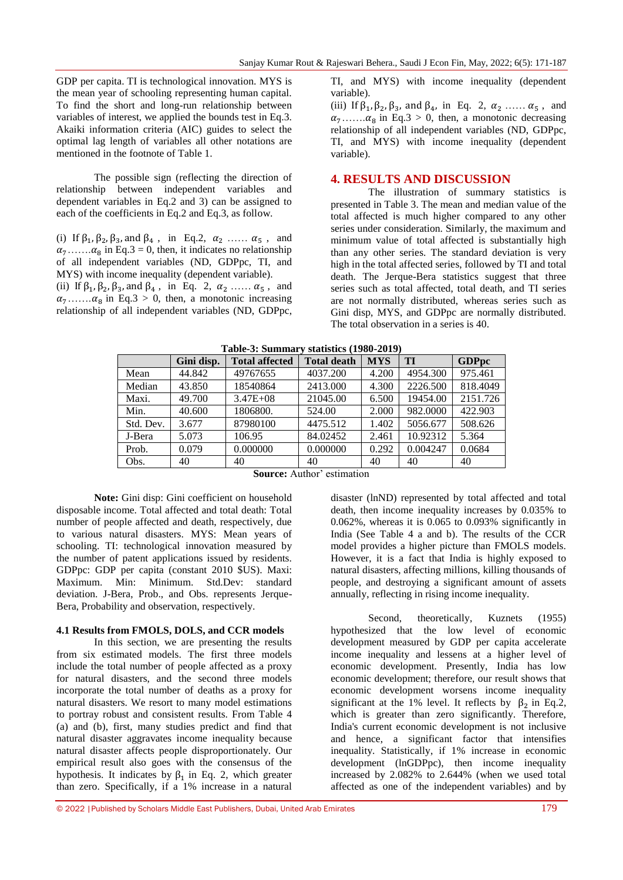GDP per capita. TI is technological innovation. MYS is the mean year of schooling representing human capital. To find the short and long-run relationship between variables of interest, we applied the bounds test in Eq.3. Akaiki information criteria (AIC) guides to select the optimal lag length of variables all other notations are mentioned in the footnote of Table 1.

The possible sign (reflecting the direction of relationship between independent variables and dependent variables in Eq.2 and 3) can be assigned to each of the coefficients in Eq.2 and Eq.3, as follow.

(i) If  $\beta_1$ ,  $\beta_2$ ,  $\beta_3$ , and  $\beta_4$ , in Eq.2,  $\alpha_2$  .....  $\alpha_5$ , and  $\alpha_7$ ....... $\alpha_8$  in Eq.3 = 0, then, it indicates no relationship of all independent variables (ND, GDPpc, TI, and MYS) with income inequality (dependent variable).

(ii) If  $\beta_1$ ,  $\beta_2$ ,  $\beta_3$ , and  $\beta_4$ , in Eq. 2,  $\alpha_2$  .....  $\alpha_5$ , and  $\alpha_7$ ....... $\alpha_8$  in Eq.3 > 0, then, a monotonic increasing relationship of all independent variables (ND, GDPpc,

TI, and MYS) with income inequality (dependent variable).

(iii) If  $\beta_1$ ,  $\beta_2$ ,  $\beta_3$ , and  $\beta_4$ , in Eq. 2,  $\alpha_2$  ......  $\alpha_5$ , and  $\alpha_7$ ....... $\alpha_8$  in Eq.3 > 0, then, a monotonic decreasing relationship of all independent variables (ND, GDPpc, TI, and MYS) with income inequality (dependent variable).

## **4. RESULTS AND DISCUSSION**

The illustration of summary statistics is presented in Table 3. The mean and median value of the total affected is much higher compared to any other series under consideration. Similarly, the maximum and minimum value of total affected is substantially high than any other series. The standard deviation is very high in the total affected series, followed by TI and total death. The Jerque-Bera statistics suggest that three series such as total affected, total death, and TI series are not normally distributed, whereas series such as Gini disp, MYS, and GDPpc are normally distributed. The total observation in a series is 40.

|           | Gini disp. | <b>Total affected</b> | <b>Total death</b> | <b>MYS</b> | TI       | <b>GDPpc</b> |
|-----------|------------|-----------------------|--------------------|------------|----------|--------------|
| Mean      | 44.842     | 49767655              | 4037.200           | 4.200      | 4954.300 | 975.461      |
| Median    | 43.850     | 18540864              | 2413.000           | 4.300      | 2226.500 | 818.4049     |
| Maxi.     | 49.700     | $3.47E + 08$          | 21045.00           | 6.500      | 19454.00 | 2151.726     |
| Min.      | 40.600     | 1806800.              | 524.00             | 2.000      | 982.0000 | 422.903      |
| Std. Dev. | 3.677      | 87980100              | 4475.512           | 1.402      | 5056.677 | 508.626      |
| J-Bera    | 5.073      | 106.95                | 84.02452           | 2.461      | 10.92312 | 5.364        |
| Prob.     | 0.079      | 0.000000              | 0.000000           | 0.292      | 0.004247 | 0.0684       |
| Obs.      | 40         | 40                    | 40                 | 40         | 40       | 40           |

**Table-3: Summary statistics (1980-2019)**

**Source:** Author' estimation

**Note:** Gini disp: Gini coefficient on household disposable income. Total affected and total death: Total number of people affected and death, respectively, due to various natural disasters. MYS: Mean years of schooling. TI: technological innovation measured by the number of patent applications issued by residents. GDPpc: GDP per capita (constant 2010 \$US). Maxi: Maximum. Min: Minimum. Std.Dev: standard deviation. J-Bera, Prob., and Obs. represents Jerque-Bera, Probability and observation, respectively.

#### **4.1 Results from FMOLS, DOLS, and CCR models**

In this section, we are presenting the results from six estimated models. The first three models include the total number of people affected as a proxy for natural disasters, and the second three models incorporate the total number of deaths as a proxy for natural disasters. We resort to many model estimations to portray robust and consistent results. From Table 4 (a) and (b), first, many studies predict and find that natural disaster aggravates income inequality because natural disaster affects people disproportionately. Our empirical result also goes with the consensus of the hypothesis. It indicates by  $\beta_1$  in Eq. 2, which greater than zero. Specifically, if a 1% increase in a natural

disaster (lnND) represented by total affected and total death, then income inequality increases by 0.035% to 0.062%, whereas it is 0.065 to 0.093% significantly in India (See Table 4 a and b). The results of the CCR model provides a higher picture than FMOLS models. However, it is a fact that India is highly exposed to natural disasters, affecting millions, killing thousands of people, and destroying a significant amount of assets annually, reflecting in rising income inequality.

Second, theoretically, Kuznets (1955) hypothesized that the low level of economic development measured by GDP per capita accelerate income inequality and lessens at a higher level of economic development. Presently, India has low economic development; therefore, our result shows that economic development worsens income inequality significant at the 1% level. It reflects by  $\beta_2$  in Eq.2, which is greater than zero significantly. Therefore, India's current economic development is not inclusive and hence, a significant factor that intensifies inequality. Statistically, if 1% increase in economic development (lnGDPpc), then income inequality increased by 2.082% to 2.644% (when we used total affected as one of the independent variables) and by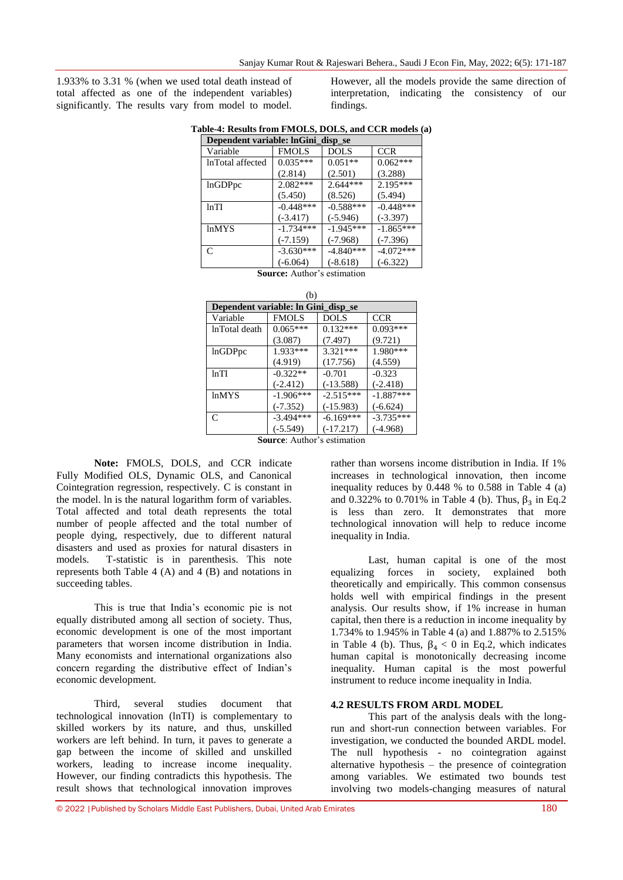1.933% to 3.31 % (when we used total death instead of total affected as one of the independent variables) significantly. The results vary from model to model.

However, all the models provide the same direction of interpretation, indicating the consistency of our findings.

|  |  |  |  |  | Table-4: Results from FMOLS, DOLS, and CCR models (a) |  |
|--|--|--|--|--|-------------------------------------------------------|--|
|  |  |  |  |  |                                                       |  |

| Dependent variable: lnGini disp se |              |             |             |  |  |  |
|------------------------------------|--------------|-------------|-------------|--|--|--|
| Variable                           | <b>FMOLS</b> | DOLS        | <b>CCR</b>  |  |  |  |
| InTotal affected                   | $0.035***$   | $0.051**$   | $0.062***$  |  |  |  |
|                                    | (2.814)      | (2.501)     | (3.288)     |  |  |  |
| lnGDPpc                            | 2.082***     | $2.644***$  | $2.195***$  |  |  |  |
|                                    | (5.450)      | (8.526)     | (5.494)     |  |  |  |
| ln TI                              | $-0.448***$  | $-0.588***$ | $-0.448***$ |  |  |  |
|                                    | $(-3.417)$   | $(-5.946)$  | $(-3.397)$  |  |  |  |
| <b>lnMYS</b>                       | $-1.734***$  | $-1.945***$ | $-1.865***$ |  |  |  |
|                                    | $(-7.159)$   | $(-7.968)$  | $(-7.396)$  |  |  |  |
| $\mathcal{C}$                      | $-3.630***$  | $-4.840***$ | $-4.072***$ |  |  |  |
|                                    | $(-6.064)$   | $(-8.618)$  | $(-6.322)$  |  |  |  |

**Source:** Author's estimation  $\lambda$ 

|               | (D)                                 |             |             |  |  |  |  |
|---------------|-------------------------------------|-------------|-------------|--|--|--|--|
|               | Dependent variable: In Gini disp se |             |             |  |  |  |  |
| Variable      | <b>FMOLS</b>                        | <b>DOLS</b> | <b>CCR</b>  |  |  |  |  |
| lnTotal death | $0.065***$                          | $0.132***$  | $0.093***$  |  |  |  |  |
|               | (3.087)                             | (7.497)     | (9.721)     |  |  |  |  |
| lnGDPpc       | 1.933 ***                           | $3.321***$  | 1.980***    |  |  |  |  |
|               | (4.919)                             | (17.756)    | (4.559)     |  |  |  |  |
| lnTI          | $-0.322**$                          | $-0.701$    | $-0.323$    |  |  |  |  |
|               | $(-2.412)$                          | $(-13.588)$ | $(-2.418)$  |  |  |  |  |
| <b>lnMYS</b>  | $-1.906***$                         | $-2.515***$ | $-1.887***$ |  |  |  |  |
|               | $(-7.352)$                          | $(-15.983)$ | $(-6.624)$  |  |  |  |  |
| $\mathsf{C}$  | $-3.494***$                         | $-6.169***$ | $-3.735***$ |  |  |  |  |
|               | $(-5.549)$                          | $(-17.217)$ | $(-4.968)$  |  |  |  |  |
|               | Romaan Anthon's setimetica          |             |             |  |  |  |  |

**Source**: Author's estimation

**Note:** FMOLS, DOLS, and CCR indicate Fully Modified OLS, Dynamic OLS, and Canonical Cointegration regression, respectively. C is constant in the model. ln is the natural logarithm form of variables. Total affected and total death represents the total number of people affected and the total number of people dying, respectively, due to different natural disasters and used as proxies for natural disasters in models. T-statistic is in parenthesis. This note represents both Table 4  $(A)$  and 4  $(B)$  and notations in succeeding tables.

This is true that India's economic pie is not equally distributed among all section of society. Thus, economic development is one of the most important parameters that worsen income distribution in India. Many economists and international organizations also concern regarding the distributive effect of Indian's economic development.

Third, several studies document that technological innovation (lnTI) is complementary to skilled workers by its nature, and thus, unskilled workers are left behind. In turn, it paves to generate a gap between the income of skilled and unskilled workers, leading to increase income inequality. However, our finding contradicts this hypothesis. The result shows that technological innovation improves

rather than worsens income distribution in India. If 1% increases in technological innovation, then income inequality reduces by  $0.448$  % to  $0.588$  in Table 4 (a) and 0.322% to 0.701% in Table 4 (b). Thus,  $\beta_3$  in Eq.2 is less than zero. It demonstrates that more technological innovation will help to reduce income inequality in India.

Last, human capital is one of the most equalizing forces in society, explained both theoretically and empirically. This common consensus holds well with empirical findings in the present analysis. Our results show, if 1% increase in human capital, then there is a reduction in income inequality by 1.734% to 1.945% in Table 4 (a) and 1.887% to 2.515% in Table 4 (b). Thus,  $\beta_4 < 0$  in Eq.2, which indicates human capital is monotonically decreasing income inequality. Human capital is the most powerful instrument to reduce income inequality in India.

#### **4.2 RESULTS FROM ARDL MODEL**

This part of the analysis deals with the longrun and short-run connection between variables. For investigation, we conducted the bounded ARDL model. The null hypothesis - no cointegration against alternative hypothesis – the presence of cointegration among variables. We estimated two bounds test involving two models-changing measures of natural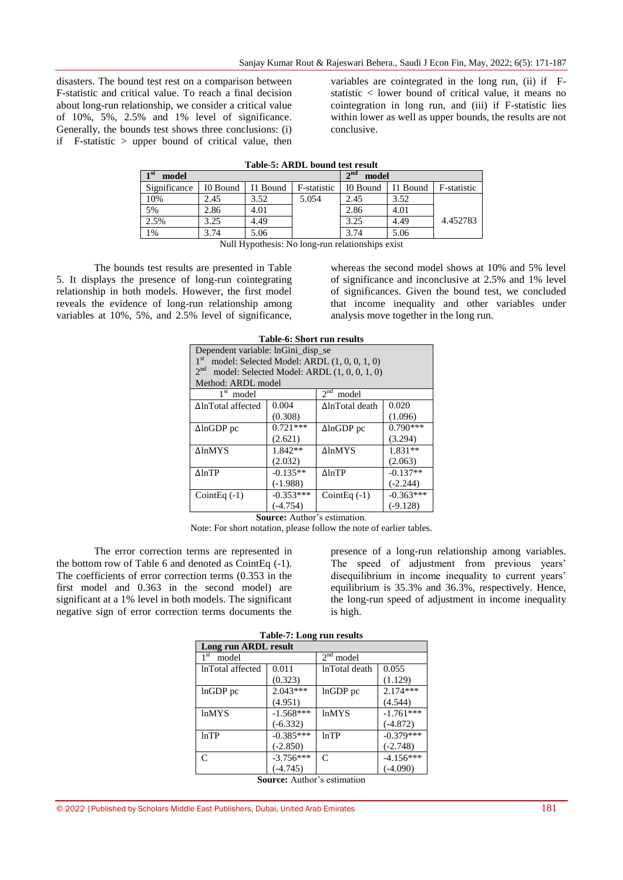disasters. The bound test rest on a comparison between F-statistic and critical value. To reach a final decision about long-run relationship, we consider a critical value of 10%, 5%, 2.5% and 1% level of significance. Generally, the bounds test shows three conclusions: (i) if F-statistic > upper bound of critical value, then

variables are cointegrated in the long run, (ii) if Fstatistic < lower bound of critical value, it means no cointegration in long run, and (iii) if F-statistic lies within lower as well as upper bounds, the results are not conclusive.

| тари эт тимп роана азгтозап |                 |          |              |                          |          |             |
|-----------------------------|-----------------|----------|--------------|--------------------------|----------|-------------|
| $1^{st}$<br>model           |                 |          |              | 2 <sup>nd</sup><br>model |          |             |
| Significance                | I0 Bound        | I1 Bound | F-statistic  | I0 Bound                 | I1 Bound | F-statistic |
| 10%                         | 2.45            | 3.52     | 5.054        | 2.45                     | 3.52     |             |
| 5%                          | 2.86            | 4.01     |              | 2.86                     | 4.01     |             |
| 2.5%                        | 3.25            | 4.49     |              | 3.25                     | 4.49     | 4.452783    |
| 1%                          | 3.74            | 5.06     |              | 3.74                     | 5.06     |             |
|                             | <b>AT 11 TT</b> | - 11 -   | $\mathbf{X}$ | $\cdots$<br>$\cdots$     |          |             |

**Table-5: ARDL bound test result**

Null Hypothesis: No long-run relationships exist

The bounds test results are presented in Table 5. It displays the presence of long-run cointegrating relationship in both models. However, the first model reveals the evidence of long-run relationship among variables at 10%, 5%, and 2.5% level of significance,

whereas the second model shows at 10% and 5% level of significance and inconclusive at 2.5% and 1% level of significances. Given the bound test, we concluded that income inequality and other variables under analysis move together in the long run.

| <b>Table-6: Short run results</b>                    |             |                                               |             |  |  |  |
|------------------------------------------------------|-------------|-----------------------------------------------|-------------|--|--|--|
| Dependent variable: lnGini disp se                   |             |                                               |             |  |  |  |
| 1 <sup>st</sup>                                      |             | model: Selected Model: ARDL (1, 0, 0, 1, 0)   |             |  |  |  |
| 2 <sup>nd</sup>                                      |             | model: Selected Model: ARDL $(1, 0, 0, 1, 0)$ |             |  |  |  |
| Method: ARDL model                                   |             |                                               |             |  |  |  |
| 2 <sub>nd</sub><br>1 <sup>st</sup><br>model<br>model |             |                                               |             |  |  |  |
| ΔlnTotal affected                                    | 0.004       | ΔlnTotal death                                | 0.020       |  |  |  |
|                                                      | (0.308)     |                                               | (1.096)     |  |  |  |
| $\Delta$ lnGDP pc                                    | $0.721***$  | $\Delta$ lnGDP pc                             | $0.790***$  |  |  |  |
|                                                      | (2.621)     |                                               | (3.294)     |  |  |  |
| ΔlnMYS                                               | $1.842**$   | <b>ΔlnMYS</b>                                 | $1.831**$   |  |  |  |
|                                                      | (2.032)     |                                               | (2.063)     |  |  |  |
| $\Delta$ lnTP                                        | $-0.135**$  | $\Delta$ lnTP                                 | $-0.137**$  |  |  |  |
|                                                      | $(-1.988)$  |                                               | $(-2.244)$  |  |  |  |
| Coint Eq $(-1)$                                      | $-0.353***$ | Coint Eq $(-1)$                               | $-0.363***$ |  |  |  |
|                                                      | $(-4.754)$  |                                               | $(-9.128)$  |  |  |  |
|                                                      |             |                                               |             |  |  |  |

**Source:** Author's estimation.

Note: For short notation, please follow the note of earlier tables.

The error correction terms are represented in the bottom row of Table 6 and denoted as CointEq (-1). The coefficients of error correction terms (0.353 in the first model and 0.363 in the second model) are significant at a 1% level in both models. The significant negative sign of error correction terms documents the

presence of a long-run relationship among variables. The speed of adjustment from previous years' disequilibrium in income inequality to current years' equilibrium is 35.3% and 36.3%, respectively. Hence, the long-run speed of adjustment in income inequality is high.

| <b>Table-7: Long run results</b>   |             |               |             |
|------------------------------------|-------------|---------------|-------------|
| Long run ARDL result               |             |               |             |
| 1 <sup>st</sup><br>model           |             | $2nd$ model   |             |
| InTotal affected                   | 0.011       | lnTotal death | 0.055       |
|                                    | (0.323)     |               | (1.129)     |
| lnGDP pc                           | $2.043***$  | InGDP pc      | $2.174***$  |
|                                    | (4.951)     |               | (4.544)     |
| <b>lnMYS</b>                       | $-1.568***$ | <b>lnMYS</b>  | $-1.761***$ |
|                                    | $(-6.332)$  |               | $(-4.872)$  |
| lnTP                               | $-0.385***$ | lnTP          | $-0.379***$ |
|                                    | $(-2.850)$  |               | $(-2.748)$  |
| $\Gamma$                           | $-3.756***$ | $\mathsf{C}$  | $-4.156***$ |
|                                    | $(-4.745)$  |               | $(-4.090)$  |
| <b>Source:</b> Author's estimation |             |               |             |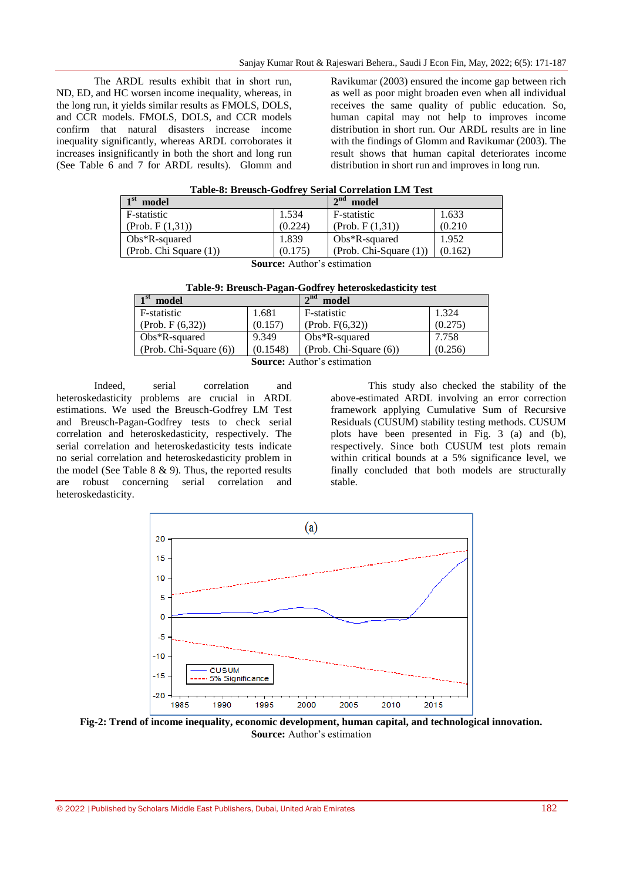The ARDL results exhibit that in short run, ND, ED, and HC worsen income inequality, whereas, in the long run, it yields similar results as FMOLS, DOLS, and CCR models. FMOLS, DOLS, and CCR models confirm that natural disasters increase income inequality significantly, whereas ARDL corroborates it increases insignificantly in both the short and long run (See Table 6 and 7 for ARDL results). Glomm and

Ravikumar (2003) ensured the income gap between rich as well as poor might broaden even when all individual receives the same quality of public education. So, human capital may not help to improves income distribution in short run. Our ARDL results are in line with the findings of Glomm and Ravikumar (2003). The result shows that human capital deteriorates income distribution in short run and improves in long run.

| Table-8: Breusch-Godfrey Serial Correlation LM Test |  |
|-----------------------------------------------------|--|
|-----------------------------------------------------|--|

| $\mathbf{1}$ st<br>model |         | $\boldsymbol{\gamma}$ nd<br>model |         |
|--------------------------|---------|-----------------------------------|---------|
| F-statistic              | 1.534   | F-statistic                       | 1.633   |
| (Prob. F(1,31))          | (0.224) | (Prob. F(1,31))                   | (0.210) |
| $Obs*R$ -squared         | 1.839   | $Obs*R$ -squared                  | 1.952   |
| (Prob. Chi Square (1))   | (0.175) | $(Prob. Chi-Square (1))$          | (0.162) |
| $\sim$                   | .       |                                   |         |

**Source:** Author's estimation

| Table-9: Breusch-Pagan-Godfrey heteroskedasticity test |  |  |
|--------------------------------------------------------|--|--|
|--------------------------------------------------------|--|--|

| 1 <sup>st</sup><br>model |          | 2 <sub>nd</sub><br>model |         |
|--------------------------|----------|--------------------------|---------|
| F-statistic              | 1.681    | F-statistic              | 1.324   |
| (Prob. F (6, 32))        | (0.157)  | (Prob. F(6, 32))         | (0.275) |
| $Obs*R$ -squared         | 9.349    | $Obs*R$ -squared         | 7.758   |
| $(Prob. Chi-Square (6))$ | (0.1548) | (Prob. Chi-Square (6))   | (0.256) |
| $\alpha$ and $\alpha$    |          |                          |         |

**Source:** Author's estimation

Indeed, serial correlation and heteroskedasticity problems are crucial in ARDL estimations. We used the Breusch-Godfrey LM Test and Breusch-Pagan-Godfrey tests to check serial correlation and heteroskedasticity, respectively. The serial correlation and heteroskedasticity tests indicate no serial correlation and heteroskedasticity problem in the model (See Table  $8 \& 9$ ). Thus, the reported results are robust concerning serial correlation and heteroskedasticity.

This study also checked the stability of the above-estimated ARDL involving an error correction framework applying Cumulative Sum of Recursive Residuals (CUSUM) stability testing methods. CUSUM plots have been presented in Fig. 3 (a) and (b), respectively. Since both CUSUM test plots remain within critical bounds at a 5% significance level, we finally concluded that both models are structurally stable.



**Fig-2: Trend of income inequality, economic development, human capital, and technological innovation. Source:** Author's estimation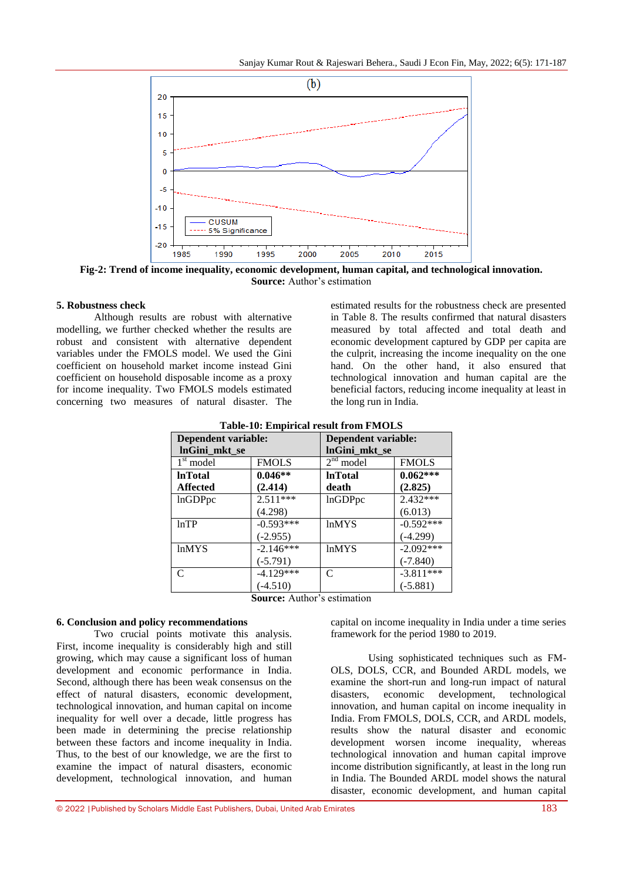

**Fig-2: Trend of income inequality, economic development, human capital, and technological innovation. Source:** Author's estimation

#### **5. Robustness check**

Although results are robust with alternative modelling, we further checked whether the results are robust and consistent with alternative dependent variables under the FMOLS model. We used the Gini coefficient on household market income instead Gini coefficient on household disposable income as a proxy for income inequality. Two FMOLS models estimated concerning two measures of natural disaster. The

estimated results for the robustness check are presented in Table 8. The results confirmed that natural disasters measured by total affected and total death and economic development captured by GDP per capita are the culprit, increasing the income inequality on the one hand. On the other hand, it also ensured that technological innovation and human capital are the beneficial factors, reducing income inequality at least in the long run in India.

| <b>Table-10: Empirical result from FMOLS</b> |              |                     |              |
|----------------------------------------------|--------------|---------------------|--------------|
| Dependent variable:                          |              | Dependent variable: |              |
| lnGini_mkt_se                                |              | lnGini_mkt_se       |              |
| $1st$ model                                  | <b>FMOLS</b> | $2nd$ model         | <b>FMOLS</b> |
| <b>InTotal</b>                               | $0.046**$    | <b>InTotal</b>      | $0.062***$   |
| <b>Affected</b>                              | (2.414)      | death               | (2.825)      |
| lnGDPpc                                      | $2.511***$   | lnGDPpc             | 2.432***     |
|                                              | (4.298)      |                     | (6.013)      |
| lnTP                                         | $-0.593***$  | <b>lnMYS</b>        | $-0.592***$  |
|                                              | $(-2.955)$   |                     | $(-4.299)$   |
| <b>lnMYS</b>                                 | $-2.146***$  | <b>lnMYS</b>        | $-2.092***$  |
|                                              | $(-5.791)$   |                     | $(-7.840)$   |
| C                                            | $-4.129***$  | C                   | $-3.811***$  |
|                                              | $(-4.510)$   |                     | $(-5.881)$   |

#### **Table-10: Empirical result from FMOLS**

**Source:** Author's estimation

### **6. Conclusion and policy recommendations**

Two crucial points motivate this analysis. First, income inequality is considerably high and still growing, which may cause a significant loss of human development and economic performance in India. Second, although there has been weak consensus on the effect of natural disasters, economic development, technological innovation, and human capital on income inequality for well over a decade, little progress has been made in determining the precise relationship between these factors and income inequality in India. Thus, to the best of our knowledge, we are the first to examine the impact of natural disasters, economic development, technological innovation, and human

capital on income inequality in India under a time series framework for the period 1980 to 2019.

Using sophisticated techniques such as FM-OLS, DOLS, CCR, and Bounded ARDL models, we examine the short-run and long-run impact of natural disasters, economic development, technological innovation, and human capital on income inequality in India. From FMOLS, DOLS, CCR, and ARDL models, results show the natural disaster and economic development worsen income inequality, whereas technological innovation and human capital improve income distribution significantly, at least in the long run in India. The Bounded ARDL model shows the natural disaster, economic development, and human capital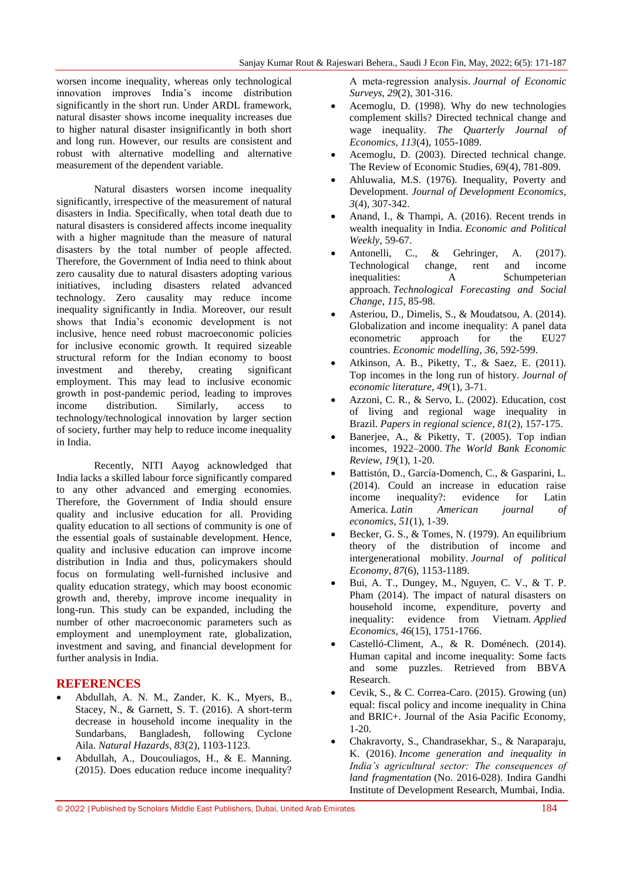worsen income inequality, whereas only technological innovation improves India's income distribution significantly in the short run. Under ARDL framework, natural disaster shows income inequality increases due to higher natural disaster insignificantly in both short and long run. However, our results are consistent and robust with alternative modelling and alternative measurement of the dependent variable.

Natural disasters worsen income inequality significantly, irrespective of the measurement of natural disasters in India. Specifically, when total death due to natural disasters is considered affects income inequality with a higher magnitude than the measure of natural disasters by the total number of people affected. Therefore, the Government of India need to think about zero causality due to natural disasters adopting various initiatives, including disasters related advanced technology. Zero causality may reduce income inequality significantly in India. Moreover, our result shows that India's economic development is not inclusive, hence need robust macroeconomic policies for inclusive economic growth. It required sizeable structural reform for the Indian economy to boost investment and thereby, creating significant employment. This may lead to inclusive economic growth in post-pandemic period, leading to improves income distribution. Similarly, access to technology/technological innovation by larger section of society, further may help to reduce income inequality in India.

Recently, NITI Aayog acknowledged that India lacks a skilled labour force significantly compared to any other advanced and emerging economies. Therefore, the Government of India should ensure quality and inclusive education for all. Providing quality education to all sections of community is one of the essential goals of sustainable development. Hence, quality and inclusive education can improve income distribution in India and thus, policymakers should focus on formulating well-furnished inclusive and quality education strategy, which may boost economic growth and, thereby, improve income inequality in long-run. This study can be expanded, including the number of other macroeconomic parameters such as employment and unemployment rate, globalization, investment and saving, and financial development for further analysis in India.

## **REFERENCES**

- Abdullah, A. N. M., Zander, K. K., Myers, B., Stacey, N., & Garnett, S. T. (2016). A short-term decrease in household income inequality in the Sundarbans, Bangladesh, following Cyclone Aila. *Natural Hazards*, *83*(2), 1103-1123.
- Abdullah, A., Doucouliagos, H., & E. Manning. (2015). Does education reduce income inequality?

A meta‐regression analysis. *Journal of Economic Surveys, 29*(2), 301-316.

- Acemoglu, D. (1998). Why do new technologies complement skills? Directed technical change and wage inequality. *The Quarterly Journal of Economics, 113*(4), 1055-1089.
- Acemoglu, D. (2003). Directed technical change. The Review of Economic Studies, 69(4), 781-809.
- Ahluwalia, M.S. (1976). Inequality, Poverty and Development. *Journal of Development Economics, 3*(4), 307-342.
- Anand, I., & Thampi, A. (2016). Recent trends in wealth inequality in India. *Economic and Political Weekly*, 59-67.
- Antonelli, C., & Gehringer, A. (2017).<br>Technological change, rent and income Technological change, rent and income inequalities: A Schumpeterian approach. *Technological Forecasting and Social Change*, *115*, 85-98.
- Asteriou, D., Dimelis, S., & Moudatsou, A. (2014). Globalization and income inequality: A panel data econometric approach for the EU27 countries. *Economic modelling*, *36*, 592-599.
- Atkinson, A. B., Piketty, T., & Saez, E. (2011). Top incomes in the long run of history. *Journal of economic literature*, *49*(1), 3-71.
- Azzoni, C. R., & Servo, L. (2002). Education, cost of living and regional wage inequality in Brazil. *Papers in regional science*, *81*(2), 157-175.
- Banerjee, A., & Piketty, T. (2005). Top indian incomes, 1922–2000. *The World Bank Economic Review*, *19*(1), 1-20.
- Battistón, D., García-Domench, C., & Gasparini, L. (2014). Could an increase in education raise income inequality?: evidence for Latin America. *Latin American journal of economics*, *51*(1), 1-39.
- Becker, G. S., & Tomes, N. (1979). An equilibrium theory of the distribution of income and intergenerational mobility. *Journal of political Economy*, *87*(6), 1153-1189.
- Bui, A. T., Dungey, M., Nguyen, C. V., & T. P. Pham (2014). The impact of natural disasters on household income, expenditure, poverty and inequality: evidence from Vietnam. *Applied Economics, 46*(15), 1751-1766.
- Castelló-Climent, A., & R. Doménech. (2014). Human capital and income inequality: Some facts and some puzzles. Retrieved from BBVA Research.
- Cevik, S., & C. Correa-Caro. (2015). Growing (un) equal: fiscal policy and income inequality in China and BRIC+. Journal of the Asia Pacific Economy, 1-20.
- Chakravorty, S., Chandrasekhar, S., & Naraparaju, K. (2016). *Income generation and inequality in India's agricultural sector: The consequences of land fragmentation* (No. 2016-028). Indira Gandhi Institute of Development Research, Mumbai, India.

<sup>© 2022</sup> |Published by Scholars Middle East Publishers, Dubai, United Arab Emirates 184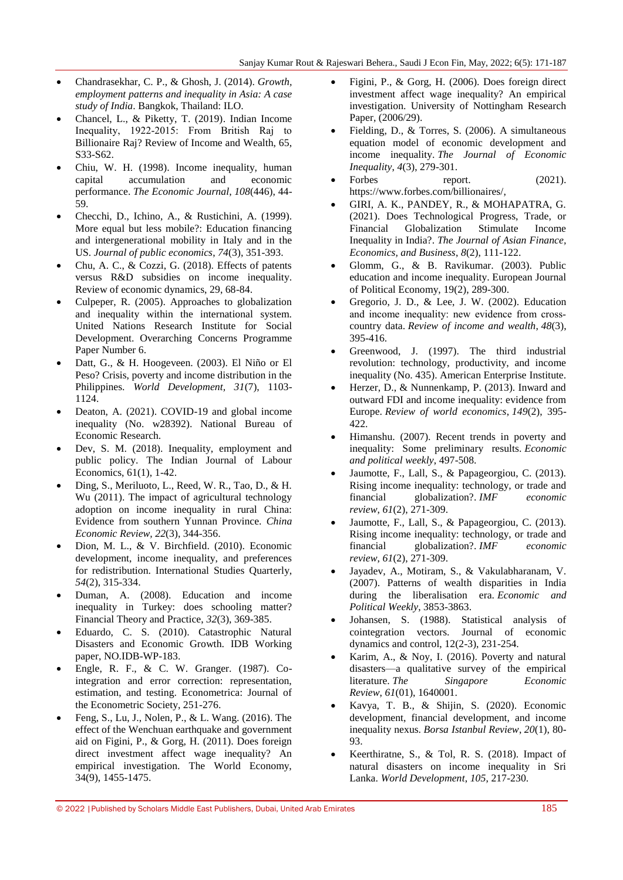- Chandrasekhar, C. P., & Ghosh, J. (2014). *Growth, employment patterns and inequality in Asia: A case study of India*. Bangkok, Thailand: ILO.
- Chancel, L., & Piketty, T. (2019). Indian Income Inequality, 1922‐2015: From British Raj to Billionaire Raj? Review of Income and Wealth, 65, S33-S62.
- Chiu, W. H. (1998). Income inequality, human capital accumulation and economic performance. *The Economic Journal*, *108*(446), 44- 59.
- Checchi, D., Ichino, A., & Rustichini, A. (1999). More equal but less mobile?: Education financing and intergenerational mobility in Italy and in the US. *Journal of public economics*, *74*(3), 351-393.
- Chu, A. C., & Cozzi, G. (2018). Effects of patents versus R&D subsidies on income inequality. Review of economic dynamics, 29, 68-84.
- Culpeper, R. (2005). Approaches to globalization and inequality within the international system. United Nations Research Institute for Social Development. Overarching Concerns Programme Paper Number 6.
- Datt, G., & H. Hoogeveen. (2003). El Niño or El Peso? Crisis, poverty and income distribution in the Philippines. *World Development, 31*(7), 1103- 1124.
- Deaton, A. (2021). COVID-19 and global income inequality (No. w28392). National Bureau of Economic Research.
- Dev, S. M. (2018). Inequality, employment and public policy. The Indian Journal of Labour Economics, 61(1), 1-42.
- Ding, S., Meriluoto, L., Reed, W. R., Tao, D., & H. Wu (2011). The impact of agricultural technology adoption on income inequality in rural China: Evidence from southern Yunnan Province. *China Economic Review, 22*(3), 344-356.
- Dion, M. L., & V. Birchfield. (2010). Economic development, income inequality, and preferences for redistribution. International Studies Quarterly, *54*(2), 315-334.
- Duman, A. (2008). Education and income inequality in Turkey: does schooling matter? Financial Theory and Practice, *32*(3), 369-385.
- Eduardo, C. S. (2010). Catastrophic Natural Disasters and Economic Growth. IDB Working paper, NO.IDB-WP-183.
- Engle, R. F., & C. W. Granger. (1987). Cointegration and error correction: representation, estimation, and testing. Econometrica: Journal of the Econometric Society, 251-276.
- Feng, S., Lu, J., Nolen, P., & L. Wang. (2016). The effect of the Wenchuan earthquake and government aid on Figini, P., & Gorg, H. (2011). Does foreign direct investment affect wage inequality? An empirical investigation. The World Economy, 34(9), 1455-1475.
- Figini, P., & Gorg, H. (2006). Does foreign direct investment affect wage inequality? An empirical investigation. University of Nottingham Research Paper, (2006/29).
- Fielding, D., & Torres, S. (2006). A simultaneous equation model of economic development and income inequality. *The Journal of Economic Inequality*, *4*(3), 279-301.
- Forbes report. (2021). [https://www.forbes.com/billionaires/,](https://www.forbes.com/billionaires/)
- GIRI, A. K., PANDEY, R., & MOHAPATRA, G. (2021). Does Technological Progress, Trade, or Financial Globalization Stimulate Income Inequality in India?. *The Journal of Asian Finance, Economics, and Business*, *8*(2), 111-122.
- Glomm, G., & B. Ravikumar. (2003). Public education and income inequality. European Journal of Political Economy, 19(2), 289-300.
- Gregorio, J. D., & Lee, J. W. (2002). Education and income inequality: new evidence from crosscountry data. *Review of income and wealth*, *48*(3), 395-416.
- Greenwood, J. (1997). The third industrial revolution: technology, productivity, and income inequality (No. 435). American Enterprise Institute.
- Herzer, D., & Nunnenkamp, P. (2013). Inward and outward FDI and income inequality: evidence from Europe. *Review of world economics*, *149*(2), 395- 422.
- Himanshu. (2007). Recent trends in poverty and inequality: Some preliminary results. *Economic and political weekly*, 497-508.
- Jaumotte, F., Lall, S., & Papageorgiou, C. (2013). Rising income inequality: technology, or trade and financial globalization?. *IMF economic review*, *61*(2), 271-309.
- Jaumotte, F., Lall, S., & Papageorgiou, C. (2013). Rising income inequality: technology, or trade and financial globalization?. *IMF economic review*, *61*(2), 271-309.
- Jayadev, A., Motiram, S., & Vakulabharanam, V. (2007). Patterns of wealth disparities in India during the liberalisation era. *Economic and Political Weekly*, 3853-3863.
- Johansen, S. (1988). Statistical analysis of cointegration vectors. Journal of economic dynamics and control, 12(2-3), 231-254.
- Karim, A., & Noy, I. (2016). Poverty and natural disasters—a qualitative survey of the empirical literature. *The Singapore Economic Review*, *61*(01), 1640001.
- Kavya, T. B., & Shijin, S. (2020). Economic development, financial development, and income inequality nexus. *Borsa Istanbul Review*, *20*(1), 80- 93.
- Keerthiratne, S., & Tol, R. S. (2018). Impact of natural disasters on income inequality in Sri Lanka. *World Development*, *105*, 217-230.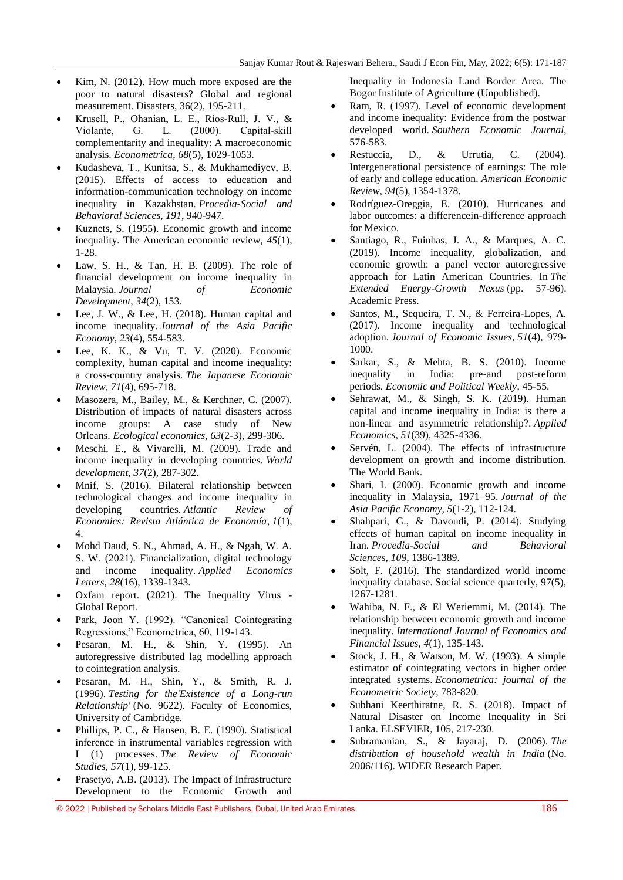- Kim, N. (2012). How much more exposed are the poor to natural disasters? Global and regional measurement. Disasters, 36(2), 195-211.
- Krusell, P., Ohanian, L. E., Ríos‐Rull, J. V., & Violante, G. L. (2000). Capital‐skill complementarity and inequality: A macroeconomic analysis. *Econometrica*, *68*(5), 1029-1053.
- Kudasheva, T., Kunitsa, S., & Mukhamediyev, B. (2015). Effects of access to education and information-communication technology on income inequality in Kazakhstan. *Procedia-Social and Behavioral Sciences*, *191*, 940-947.
- Kuznets, S. (1955). Economic growth and income inequality. The American economic review, *45*(1), 1-28.
- Law, S. H., & Tan, H. B. (2009). The role of financial development on income inequality in Malaysia. *Journal of Economic Development*, *34*(2), 153.
- Lee, J. W., & Lee, H. (2018). Human capital and income inequality. *Journal of the Asia Pacific Economy*, *23*(4), 554-583.
- Lee, K. K., & Vu, T. V. (2020). Economic complexity, human capital and income inequality: a cross-country analysis. *The Japanese Economic Review*, *71*(4), 695-718.
- Masozera, M., Bailey, M., & Kerchner, C. (2007). Distribution of impacts of natural disasters across income groups: A case study of New Orleans. *Ecological economics*, *63*(2-3), 299-306.
- Meschi, E., & Vivarelli, M. (2009). Trade and income inequality in developing countries. *World development*, *37*(2), 287-302.
- Mnif, S. (2016). Bilateral relationship between technological changes and income inequality in developing countries. *Atlantic Review of Economics: Revista Atlántica de Economía*, *1*(1), 4.
- Mohd Daud, S. N., Ahmad, A. H., & Ngah, W. A. S. W. (2021). Financialization, digital technology and income inequality. *Applied Economics Letters*, *28*(16), 1339-1343.
- Oxfam report. (2021). The Inequality Virus Global Report.
- Park, Joon Y. (1992). "Canonical Cointegrating Regressions," Econometrica, 60, 119-143.
- Pesaran, M. H., & Shin, Y. (1995). An autoregressive distributed lag modelling approach to cointegration analysis.
- Pesaran, M. H., Shin, Y., & Smith, R. J. (1996). *Testing for the'Existence of a Long-run Relationship'* (No. 9622). Faculty of Economics, University of Cambridge.
- Phillips, P. C., & Hansen, B. E. (1990). Statistical inference in instrumental variables regression with I (1) processes. *The Review of Economic Studies*, *57*(1), 99-125.
- Prasetyo, A.B. (2013). The Impact of Infrastructure Development to the Economic Growth and

Inequality in Indonesia Land Border Area. The Bogor Institute of Agriculture (Unpublished).

- Ram, R. (1997). Level of economic development and income inequality: Evidence from the postwar developed world. *Southern Economic Journal,* 576-583.
- Restuccia, D., & Urrutia, C. (2004). Intergenerational persistence of earnings: The role of early and college education. *American Economic Review*, *94*(5), 1354-1378.
- Rodríguez-Oreggia, E. (2010). Hurricanes and labor outcomes: a differencein-difference approach for Mexico.
- Santiago, R., Fuinhas, J. A., & Marques, A. C. (2019). Income inequality, globalization, and economic growth: a panel vector autoregressive approach for Latin American Countries. In *The Extended Energy-Growth Nexus* (pp. 57-96). Academic Press.
- Santos, M., Sequeira, T. N., & Ferreira-Lopes, A. (2017). Income inequality and technological adoption. *Journal of Economic Issues*, *51*(4), 979- 1000.
- Sarkar, S., & Mehta, B. S. (2010). Income inequality in India: pre-and post-reform periods. *Economic and Political Weekly*, 45-55.
- Sehrawat, M., & Singh, S. K. (2019). Human capital and income inequality in India: is there a non-linear and asymmetric relationship?. *Applied Economics*, *51*(39), 4325-4336.
- Servén, L. (2004). The effects of infrastructure development on growth and income distribution. The World Bank.
- Shari, I. (2000). Economic growth and income inequality in Malaysia, 1971–95. *Journal of the Asia Pacific Economy, 5*(1-2), 112-124.
- Shahpari, G., & Davoudi, P. (2014). Studying effects of human capital on income inequality in Iran. *Procedia-Social and Behavioral Sciences*, *109*, 1386-1389.
- Solt, F. (2016). The standardized world income inequality database. Social science quarterly, 97(5), 1267-1281.
- Wahiba, N. F., & El Weriemmi, M. (2014). The relationship between economic growth and income inequality. *International Journal of Economics and Financial Issues*, *4*(1), 135-143.
- Stock, J. H., & Watson, M. W. (1993). A simple estimator of cointegrating vectors in higher order integrated systems. *Econometrica: journal of the Econometric Society*, 783-820.
- Subhani Keerthiratne, R. S. (2018). Impact of Natural Disaster on Income Inequality in Sri Lanka. ELSEVIER, 105, 217-230.
- Subramanian, S., & Jayaraj, D. (2006). *The distribution of household wealth in India* (No. 2006/116). WIDER Research Paper.

© 2022 |Published by Scholars Middle East Publishers, Dubai, United Arab Emirates 186